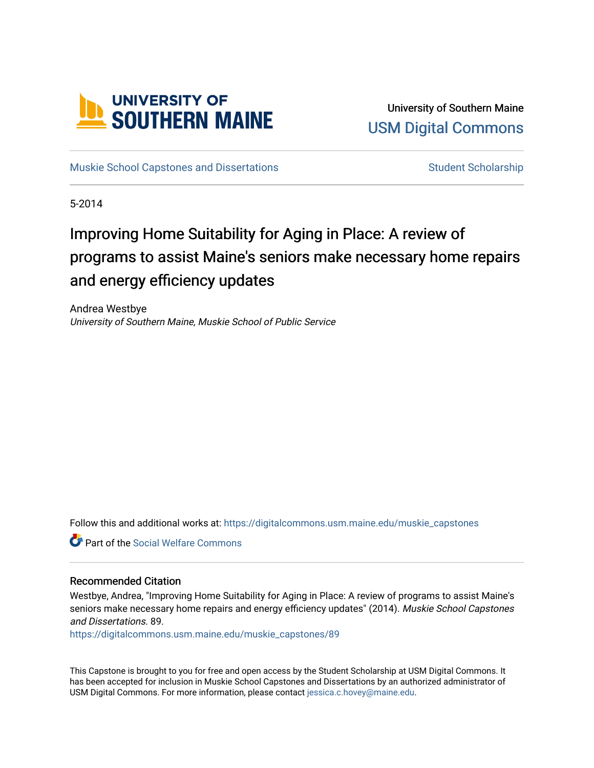

University of Southern Maine [USM Digital Commons](https://digitalcommons.usm.maine.edu/) 

[Muskie School Capstones and Dissertations](https://digitalcommons.usm.maine.edu/muskie_capstones) [Student Scholarship](https://digitalcommons.usm.maine.edu/students) Student Scholarship

5-2014

# Improving Home Suitability for Aging in Place: A review of programs to assist Maine's seniors make necessary home repairs and energy efficiency updates

Andrea Westbye University of Southern Maine, Muskie School of Public Service

Follow this and additional works at: [https://digitalcommons.usm.maine.edu/muskie\\_capstones](https://digitalcommons.usm.maine.edu/muskie_capstones?utm_source=digitalcommons.usm.maine.edu%2Fmuskie_capstones%2F89&utm_medium=PDF&utm_campaign=PDFCoverPages) 

**C** Part of the [Social Welfare Commons](http://network.bepress.com/hgg/discipline/401?utm_source=digitalcommons.usm.maine.edu%2Fmuskie_capstones%2F89&utm_medium=PDF&utm_campaign=PDFCoverPages)

#### Recommended Citation

Westbye, Andrea, "Improving Home Suitability for Aging in Place: A review of programs to assist Maine's seniors make necessary home repairs and energy efficiency updates" (2014). Muskie School Capstones and Dissertations. 89.

[https://digitalcommons.usm.maine.edu/muskie\\_capstones/89](https://digitalcommons.usm.maine.edu/muskie_capstones/89?utm_source=digitalcommons.usm.maine.edu%2Fmuskie_capstones%2F89&utm_medium=PDF&utm_campaign=PDFCoverPages)

This Capstone is brought to you for free and open access by the Student Scholarship at USM Digital Commons. It has been accepted for inclusion in Muskie School Capstones and Dissertations by an authorized administrator of USM Digital Commons. For more information, please contact [jessica.c.hovey@maine.edu](mailto:ian.fowler@maine.edu).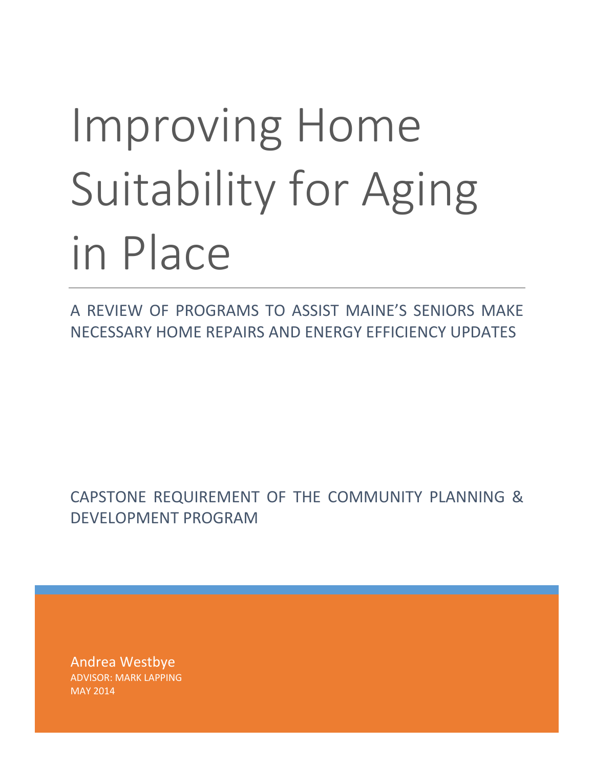# Improving Home Suitability for Aging in Place

A REVIEW OF PROGRAMS TO ASSIST MAINE'S SENIORS MAKE NECESSARY HOME REPAIRS AND ENERGY EFFICIENCY UPDATES

CAPSTONE REQUIREMENT OF THE COMMUNITY PLANNING & DEVELOPMENT PROGRAM

Andrea Westbye ADVISOR: MARK LAPPING MAY 2014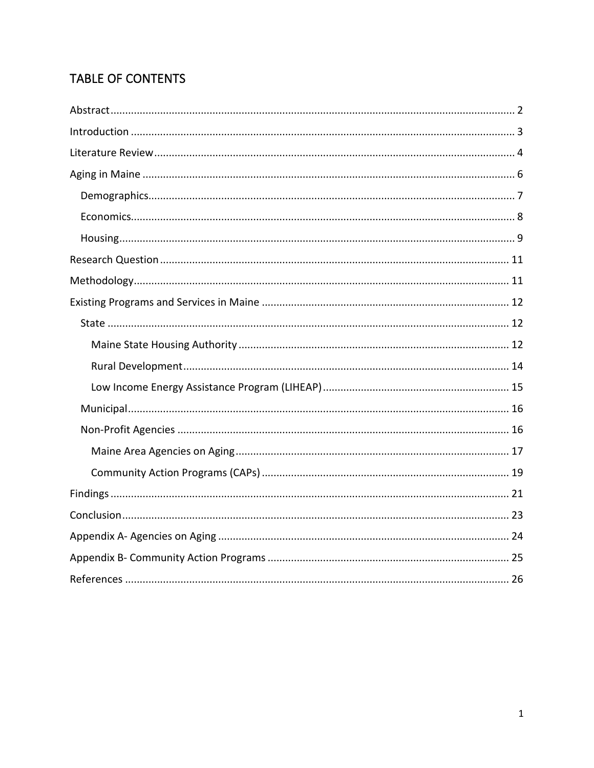# TABLE OF CONTENTS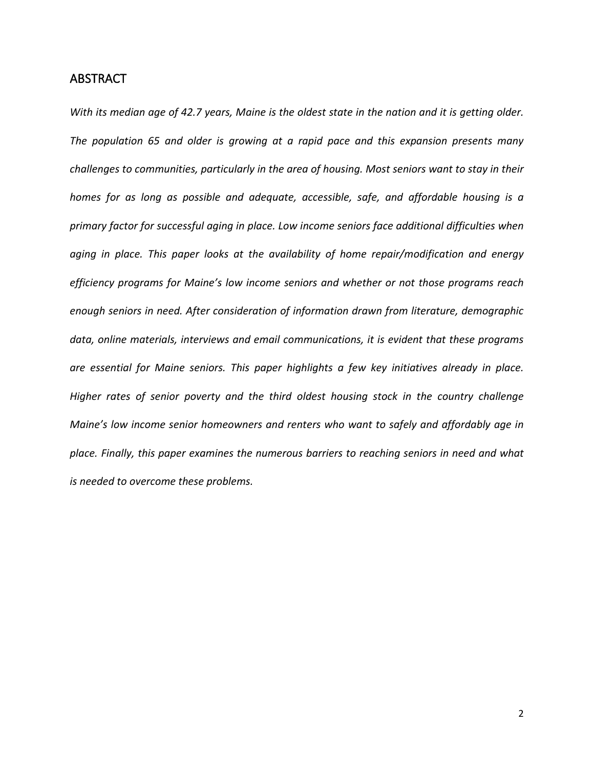# <span id="page-3-0"></span>ABSTRACT

*With its median age of 42.7 years, Maine is the oldest state in the nation and it is getting older. The population 65 and older is growing at a rapid pace and this expansion presents many challenges to communities, particularly in the area of housing. Most seniors want to stay in their homes for as long as possible and adequate, accessible, safe, and affordable housing is a primary factor for successful aging in place. Low income seniors face additional difficulties when aging in place. This paper looks at the availability of home repair/modification and energy efficiency programs for Maine's low income seniors and whether or not those programs reach enough seniors in need. After consideration of information drawn from literature, demographic data, online materials, interviews and email communications, it is evident that these programs are essential for Maine seniors. This paper highlights a few key initiatives already in place. Higher rates of senior poverty and the third oldest housing stock in the country challenge Maine's low income senior homeowners and renters who want to safely and affordably age in place. Finally, this paper examines the numerous barriers to reaching seniors in need and what is needed to overcome these problems.*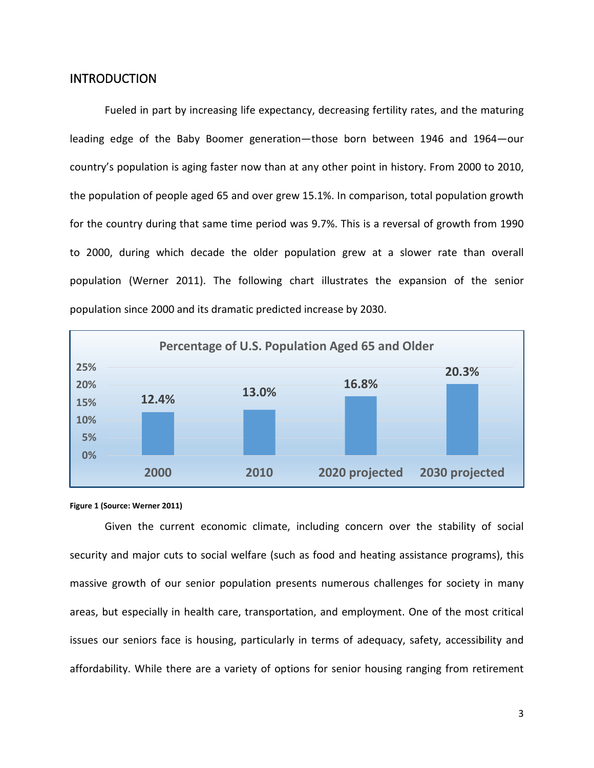# <span id="page-4-0"></span>**INTRODUCTION**

Fueled in part by increasing life expectancy, decreasing fertility rates, and the maturing leading edge of the Baby Boomer generation—those born between 1946 and 1964—our country's population is aging faster now than at any other point in history. From 2000 to 2010, the population of people aged 65 and over grew 15.1%. In comparison, total population growth for the country during that same time period was 9.7%. This is a reversal of growth from 1990 to 2000, during which decade the older population grew at a slower rate than overall population (Werner 2011). The following chart illustrates the expansion of the senior population since 2000 and its dramatic predicted increase by 2030.





Given the current economic climate, including concern over the stability of social security and major cuts to social welfare (such as food and heating assistance programs), this massive growth of our senior population presents numerous challenges for society in many areas, but especially in health care, transportation, and employment. One of the most critical issues our seniors face is housing, particularly in terms of adequacy, safety, accessibility and affordability. While there are a variety of options for senior housing ranging from retirement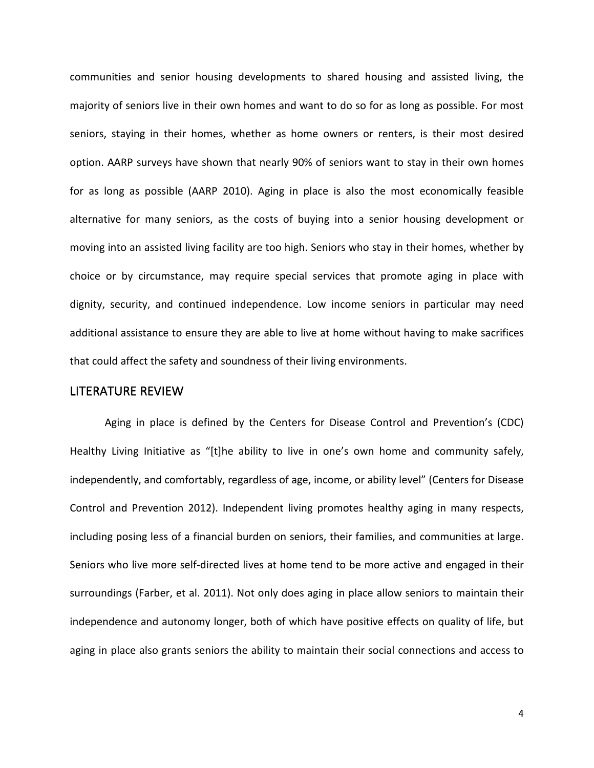communities and senior housing developments to shared housing and assisted living, the majority of seniors live in their own homes and want to do so for as long as possible. For most seniors, staying in their homes, whether as home owners or renters, is their most desired option. AARP surveys have shown that nearly 90% of seniors want to stay in their own homes for as long as possible (AARP 2010). Aging in place is also the most economically feasible alternative for many seniors, as the costs of buying into a senior housing development or moving into an assisted living facility are too high. Seniors who stay in their homes, whether by choice or by circumstance, may require special services that promote aging in place with dignity, security, and continued independence. Low income seniors in particular may need additional assistance to ensure they are able to live at home without having to make sacrifices that could affect the safety and soundness of their living environments.

# <span id="page-5-0"></span>LITERATURE REVIEW

Aging in place is defined by the Centers for Disease Control and Prevention's (CDC) Healthy Living Initiative as "[t]he ability to live in one's own home and community safely, independently, and comfortably, regardless of age, income, or ability level" (Centers for Disease Control and Prevention 2012). Independent living promotes healthy aging in many respects, including posing less of a financial burden on seniors, their families, and communities at large. Seniors who live more self-directed lives at home tend to be more active and engaged in their surroundings (Farber, et al. 2011). Not only does aging in place allow seniors to maintain their independence and autonomy longer, both of which have positive effects on quality of life, but aging in place also grants seniors the ability to maintain their social connections and access to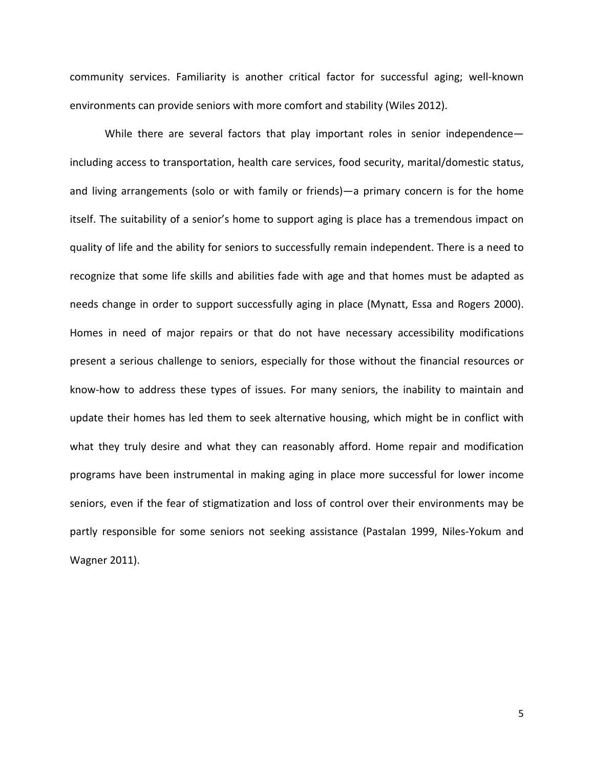community services. Familiarity is another critical factor for successful aging; well-known environments can provide seniors with more comfort and stability (Wiles 2012).

While there are several factors that play important roles in senior independenceincluding access to transportation, health care services, food security, marital/domestic status, and living arrangements (solo or with family or friends)—a primary concern is for the home itself. The suitability of a senior's home to support aging is place has a tremendous impact on quality of life and the ability for seniors to successfully remain independent. There is a need to recognize that some life skills and abilities fade with age and that homes must be adapted as needs change in order to support successfully aging in place (Mynatt, Essa and Rogers 2000). Homes in need of major repairs or that do not have necessary accessibility modifications present a serious challenge to seniors, especially for those without the financial resources or know-how to address these types of issues. For many seniors, the inability to maintain and update their homes has led them to seek alternative housing, which might be in conflict with what they truly desire and what they can reasonably afford. Home repair and modification programs have been instrumental in making aging in place more successful for lower income seniors, even if the fear of stigmatization and loss of control over their environments may be partly responsible for some seniors not seeking assistance (Pastalan 1999, Niles-Yokum and Wagner 2011).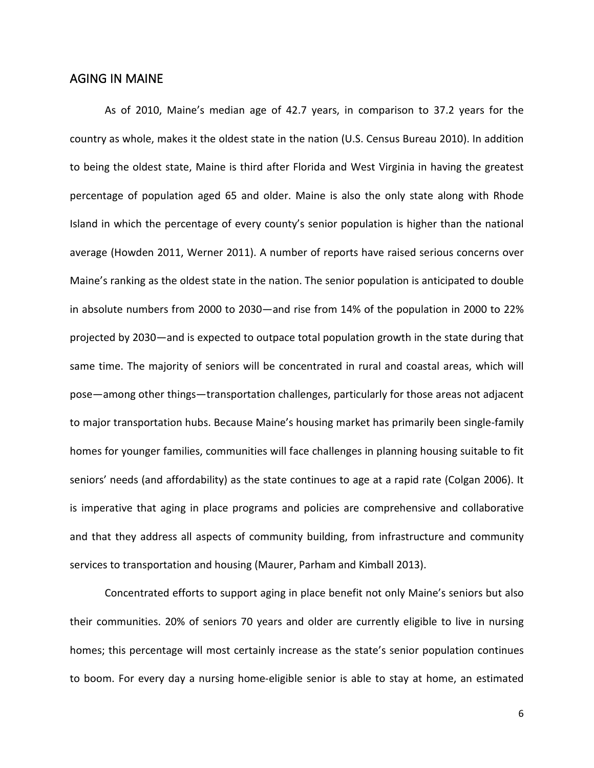# <span id="page-7-0"></span>AGING IN MAINE

As of 2010, Maine's median age of 42.7 years, in comparison to 37.2 years for the country as whole, makes it the oldest state in the nation (U.S. Census Bureau 2010). In addition to being the oldest state, Maine is third after Florida and West Virginia in having the greatest percentage of population aged 65 and older. Maine is also the only state along with Rhode Island in which the percentage of every county's senior population is higher than the national average (Howden 2011, Werner 2011). A number of reports have raised serious concerns over Maine's ranking as the oldest state in the nation. The senior population is anticipated to double in absolute numbers from 2000 to 2030—and rise from 14% of the population in 2000 to 22% projected by 2030—and is expected to outpace total population growth in the state during that same time. The majority of seniors will be concentrated in rural and coastal areas, which will pose—among other things—transportation challenges, particularly for those areas not adjacent to major transportation hubs. Because Maine's housing market has primarily been single-family homes for younger families, communities will face challenges in planning housing suitable to fit seniors' needs (and affordability) as the state continues to age at a rapid rate (Colgan 2006). It is imperative that aging in place programs and policies are comprehensive and collaborative and that they address all aspects of community building, from infrastructure and community services to transportation and housing (Maurer, Parham and Kimball 2013).

Concentrated efforts to support aging in place benefit not only Maine's seniors but also their communities. 20% of seniors 70 years and older are currently eligible to live in nursing homes; this percentage will most certainly increase as the state's senior population continues to boom. For every day a nursing home-eligible senior is able to stay at home, an estimated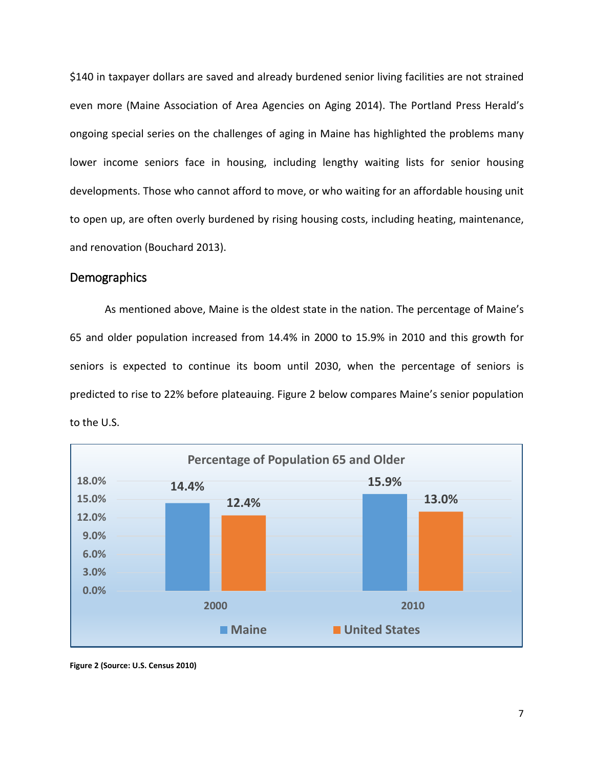\$140 in taxpayer dollars are saved and already burdened senior living facilities are not strained even more (Maine Association of Area Agencies on Aging 2014). The Portland Press Herald's ongoing special series on the challenges of aging in Maine has highlighted the problems many lower income seniors face in housing, including lengthy waiting lists for senior housing developments. Those who cannot afford to move, or who waiting for an affordable housing unit to open up, are often overly burdened by rising housing costs, including heating, maintenance, and renovation (Bouchard 2013).

# <span id="page-8-0"></span>**Demographics**

As mentioned above, Maine is the oldest state in the nation. The percentage of Maine's 65 and older population increased from 14.4% in 2000 to 15.9% in 2010 and this growth for seniors is expected to continue its boom until 2030, when the percentage of seniors is predicted to rise to 22% before plateauing. Figure 2 below compares Maine's senior population to the U.S.



**Figure 2 (Source: U.S. Census 2010)**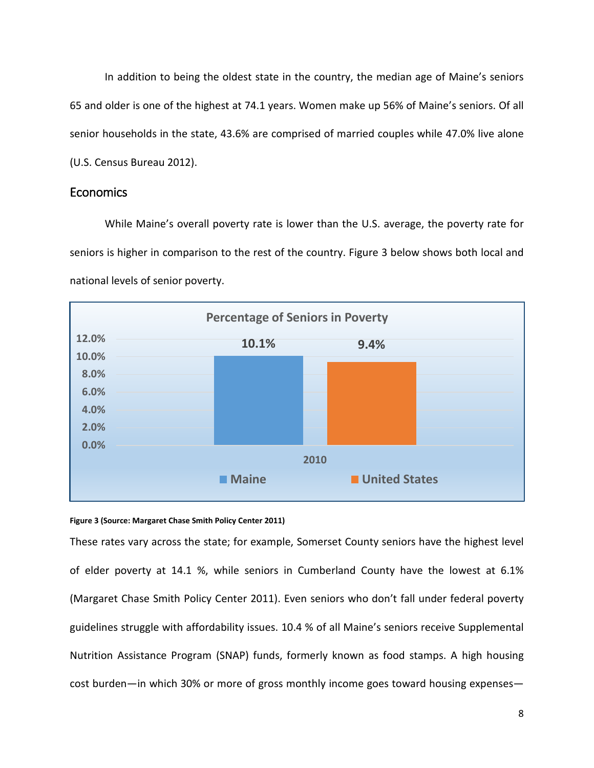In addition to being the oldest state in the country, the median age of Maine's seniors 65 and older is one of the highest at 74.1 years. Women make up 56% of Maine's seniors. Of all senior households in the state, 43.6% are comprised of married couples while 47.0% live alone (U.S. Census Bureau 2012).

# <span id="page-9-0"></span>Economics

While Maine's overall poverty rate is lower than the U.S. average, the poverty rate for seniors is higher in comparison to the rest of the country. Figure 3 below shows both local and national levels of senior poverty.



#### **Figure 3 (Source: Margaret Chase Smith Policy Center 2011)**

These rates vary across the state; for example, Somerset County seniors have the highest level of elder poverty at 14.1 %, while seniors in Cumberland County have the lowest at 6.1% (Margaret Chase Smith Policy Center 2011). Even seniors who don't fall under federal poverty guidelines struggle with affordability issues. 10.4 % of all Maine's seniors receive Supplemental Nutrition Assistance Program (SNAP) funds, formerly known as food stamps. A high housing cost burden—in which 30% or more of gross monthly income goes toward housing expenses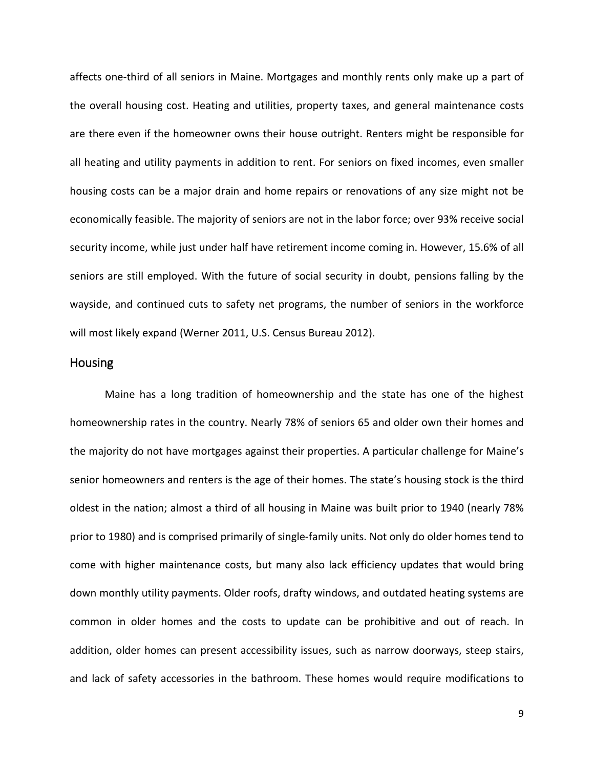affects one-third of all seniors in Maine. Mortgages and monthly rents only make up a part of the overall housing cost. Heating and utilities, property taxes, and general maintenance costs are there even if the homeowner owns their house outright. Renters might be responsible for all heating and utility payments in addition to rent. For seniors on fixed incomes, even smaller housing costs can be a major drain and home repairs or renovations of any size might not be economically feasible. The majority of seniors are not in the labor force; over 93% receive social security income, while just under half have retirement income coming in. However, 15.6% of all seniors are still employed. With the future of social security in doubt, pensions falling by the wayside, and continued cuts to safety net programs, the number of seniors in the workforce will most likely expand (Werner 2011, U.S. Census Bureau 2012).

#### <span id="page-10-0"></span>Housing

Maine has a long tradition of homeownership and the state has one of the highest homeownership rates in the country. Nearly 78% of seniors 65 and older own their homes and the majority do not have mortgages against their properties. A particular challenge for Maine's senior homeowners and renters is the age of their homes. The state's housing stock is the third oldest in the nation; almost a third of all housing in Maine was built prior to 1940 (nearly 78% prior to 1980) and is comprised primarily of single-family units. Not only do older homes tend to come with higher maintenance costs, but many also lack efficiency updates that would bring down monthly utility payments. Older roofs, drafty windows, and outdated heating systems are common in older homes and the costs to update can be prohibitive and out of reach. In addition, older homes can present accessibility issues, such as narrow doorways, steep stairs, and lack of safety accessories in the bathroom. These homes would require modifications to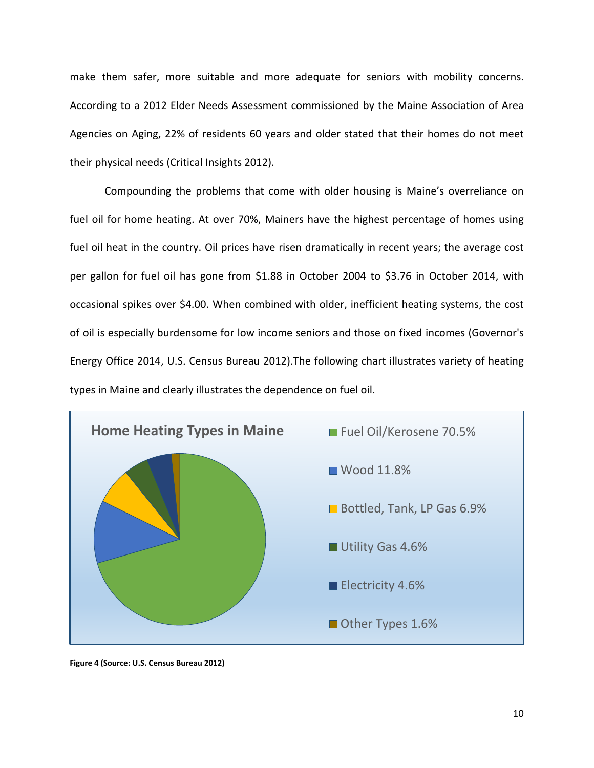make them safer, more suitable and more adequate for seniors with mobility concerns. According to a 2012 Elder Needs Assessment commissioned by the Maine Association of Area Agencies on Aging, 22% of residents 60 years and older stated that their homes do not meet their physical needs (Critical Insights 2012).

Compounding the problems that come with older housing is Maine's overreliance on fuel oil for home heating. At over 70%, Mainers have the highest percentage of homes using fuel oil heat in the country. Oil prices have risen dramatically in recent years; the average cost per gallon for fuel oil has gone from \$1.88 in October 2004 to \$3.76 in October 2014, with occasional spikes over \$4.00. When combined with older, inefficient heating systems, the cost of oil is especially burdensome for low income seniors and those on fixed incomes (Governor's Energy Office 2014, U.S. Census Bureau 2012).The following chart illustrates variety of heating types in Maine and clearly illustrates the dependence on fuel oil.



**Figure 4 (Source: U.S. Census Bureau 2012)**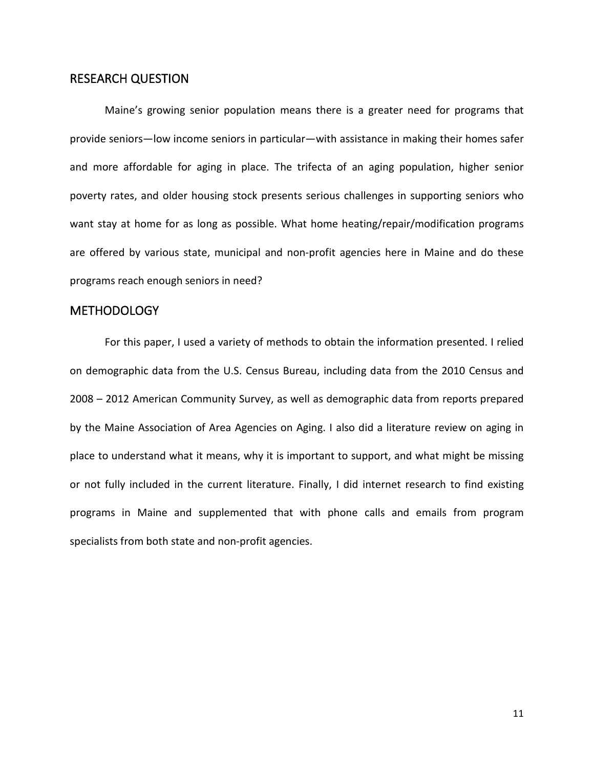# <span id="page-12-0"></span>RESEARCH QUESTION

Maine's growing senior population means there is a greater need for programs that provide seniors—low income seniors in particular—with assistance in making their homes safer and more affordable for aging in place. The trifecta of an aging population, higher senior poverty rates, and older housing stock presents serious challenges in supporting seniors who want stay at home for as long as possible. What home heating/repair/modification programs are offered by various state, municipal and non-profit agencies here in Maine and do these programs reach enough seniors in need?

# <span id="page-12-1"></span>**METHODOLOGY**

For this paper, I used a variety of methods to obtain the information presented. I relied on demographic data from the U.S. Census Bureau, including data from the 2010 Census and 2008 – 2012 American Community Survey, as well as demographic data from reports prepared by the Maine Association of Area Agencies on Aging. I also did a literature review on aging in place to understand what it means, why it is important to support, and what might be missing or not fully included in the current literature. Finally, I did internet research to find existing programs in Maine and supplemented that with phone calls and emails from program specialists from both state and non-profit agencies.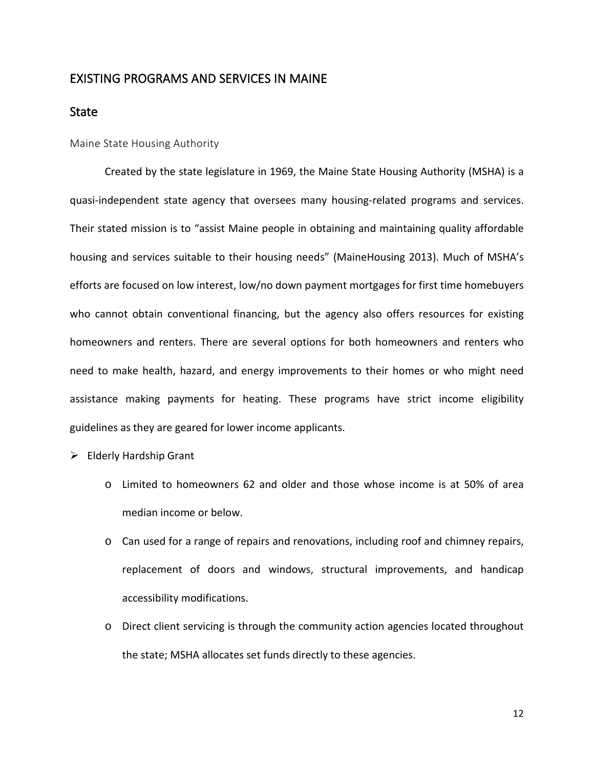# <span id="page-13-0"></span>EXISTING PROGRAMS AND SERVICES IN MAINE

# <span id="page-13-1"></span>State

<span id="page-13-2"></span>Maine State Housing Authority

Created by the state legislature in 1969, the Maine State Housing Authority (MSHA) is a quasi-independent state agency that oversees many housing-related programs and services. Their stated mission is to "assist Maine people in obtaining and maintaining quality affordable housing and services suitable to their housing needs" (MaineHousing 2013). Much of MSHA's efforts are focused on low interest, low/no down payment mortgages for first time homebuyers who cannot obtain conventional financing, but the agency also offers resources for existing homeowners and renters. There are several options for both homeowners and renters who need to make health, hazard, and energy improvements to their homes or who might need assistance making payments for heating. These programs have strict income eligibility guidelines as they are geared for lower income applicants.

- $\triangleright$  Elderly Hardship Grant
	- o Limited to homeowners 62 and older and those whose income is at 50% of area median income or below.
	- o Can used for a range of repairs and renovations, including roof and chimney repairs, replacement of doors and windows, structural improvements, and handicap accessibility modifications.
	- o Direct client servicing is through the community action agencies located throughout the state; MSHA allocates set funds directly to these agencies.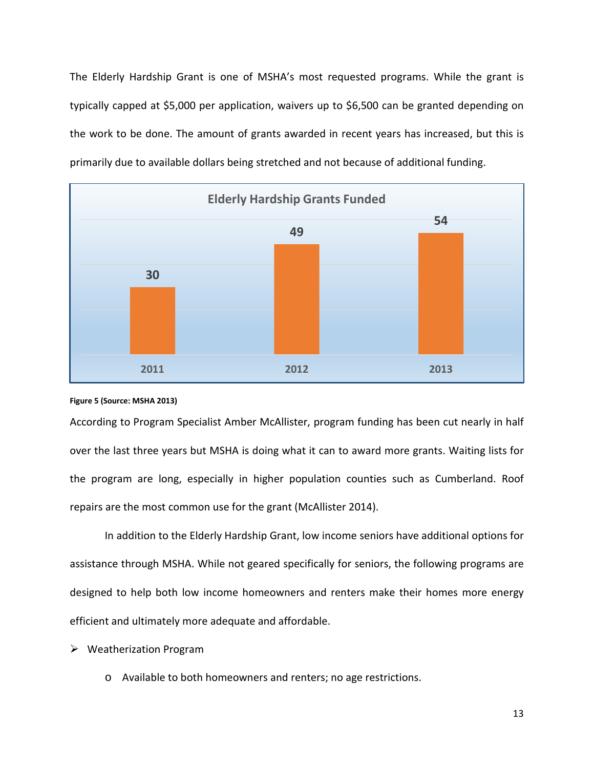The Elderly Hardship Grant is one of MSHA's most requested programs. While the grant is typically capped at \$5,000 per application, waivers up to \$6,500 can be granted depending on the work to be done. The amount of grants awarded in recent years has increased, but this is primarily due to available dollars being stretched and not because of additional funding.



#### **Figure 5 (Source: MSHA 2013)**

According to Program Specialist Amber McAllister, program funding has been cut nearly in half over the last three years but MSHA is doing what it can to award more grants. Waiting lists for the program are long, especially in higher population counties such as Cumberland. Roof repairs are the most common use for the grant (McAllister 2014).

In addition to the Elderly Hardship Grant, low income seniors have additional options for assistance through MSHA. While not geared specifically for seniors, the following programs are designed to help both low income homeowners and renters make their homes more energy efficient and ultimately more adequate and affordable.

- Weatherization Program
	- o Available to both homeowners and renters; no age restrictions.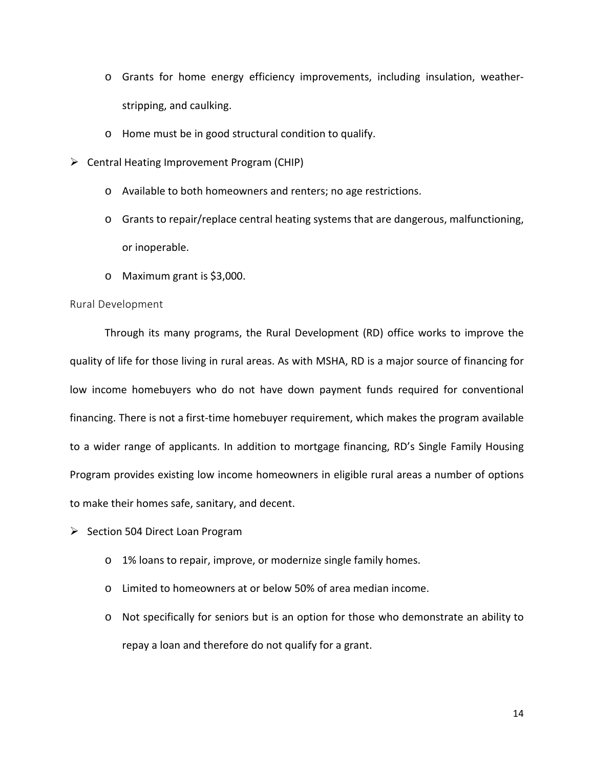- o Grants for home energy efficiency improvements, including insulation, weatherstripping, and caulking.
- o Home must be in good structural condition to qualify.
- $\triangleright$  Central Heating Improvement Program (CHIP)
	- o Available to both homeowners and renters; no age restrictions.
	- o Grants to repair/replace central heating systems that are dangerous, malfunctioning, or inoperable.
	- o Maximum grant is \$3,000.

#### <span id="page-15-0"></span>Rural Development

Through its many programs, the Rural Development (RD) office works to improve the quality of life for those living in rural areas. As with MSHA, RD is a major source of financing for low income homebuyers who do not have down payment funds required for conventional financing. There is not a first-time homebuyer requirement, which makes the program available to a wider range of applicants. In addition to mortgage financing, RD's Single Family Housing Program provides existing low income homeowners in eligible rural areas a number of options to make their homes safe, sanitary, and decent.

- $\triangleright$  Section 504 Direct Loan Program
	- o 1% loans to repair, improve, or modernize single family homes.
	- o Limited to homeowners at or below 50% of area median income.
	- o Not specifically for seniors but is an option for those who demonstrate an ability to repay a loan and therefore do not qualify for a grant.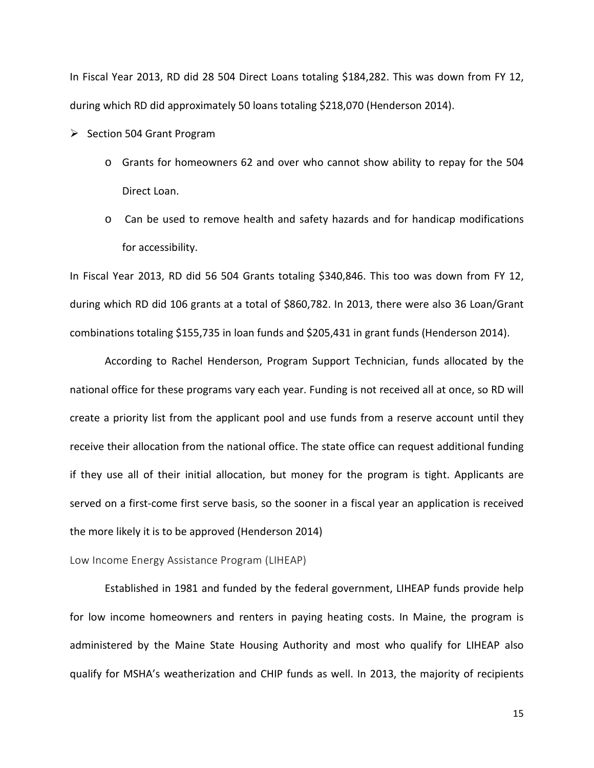In Fiscal Year 2013, RD did 28 504 Direct Loans totaling \$184,282. This was down from FY 12, during which RD did approximately 50 loans totaling \$218,070 (Henderson 2014).

- $\triangleright$  Section 504 Grant Program
	- o Grants for homeowners 62 and over who cannot show ability to repay for the 504 Direct Loan.
	- o Can be used to remove health and safety hazards and for handicap modifications for accessibility.

In Fiscal Year 2013, RD did 56 504 Grants totaling \$340,846. This too was down from FY 12, during which RD did 106 grants at a total of \$860,782. In 2013, there were also 36 Loan/Grant combinations totaling \$155,735 in loan funds and \$205,431 in grant funds (Henderson 2014).

According to Rachel Henderson, Program Support Technician, funds allocated by the national office for these programs vary each year. Funding is not received all at once, so RD will create a priority list from the applicant pool and use funds from a reserve account until they receive their allocation from the national office. The state office can request additional funding if they use all of their initial allocation, but money for the program is tight. Applicants are served on a first-come first serve basis, so the sooner in a fiscal year an application is received the more likely it is to be approved (Henderson 2014)

<span id="page-16-0"></span>Low Income Energy Assistance Program (LIHEAP)

Established in 1981 and funded by the federal government, LIHEAP funds provide help for low income homeowners and renters in paying heating costs. In Maine, the program is administered by the Maine State Housing Authority and most who qualify for LIHEAP also qualify for MSHA's weatherization and CHIP funds as well. In 2013, the majority of recipients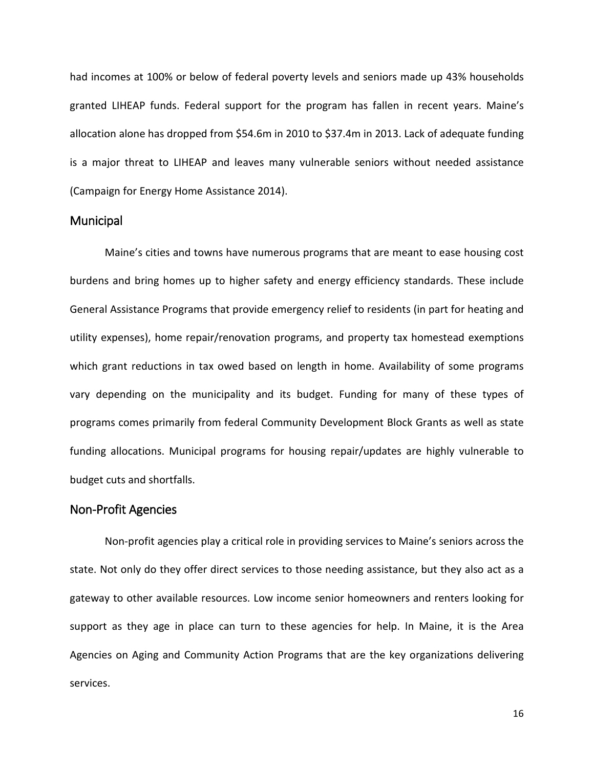had incomes at 100% or below of federal poverty levels and seniors made up 43% households granted LIHEAP funds. Federal support for the program has fallen in recent years. Maine's allocation alone has dropped from \$54.6m in 2010 to \$37.4m in 2013. Lack of adequate funding is a major threat to LIHEAP and leaves many vulnerable seniors without needed assistance (Campaign for Energy Home Assistance 2014).

#### <span id="page-17-0"></span>**Municipal**

Maine's cities and towns have numerous programs that are meant to ease housing cost burdens and bring homes up to higher safety and energy efficiency standards. These include General Assistance Programs that provide emergency relief to residents (in part for heating and utility expenses), home repair/renovation programs, and property tax homestead exemptions which grant reductions in tax owed based on length in home. Availability of some programs vary depending on the municipality and its budget. Funding for many of these types of programs comes primarily from federal Community Development Block Grants as well as state funding allocations. Municipal programs for housing repair/updates are highly vulnerable to budget cuts and shortfalls.

# <span id="page-17-1"></span>Non-Profit Agencies

Non-profit agencies play a critical role in providing services to Maine's seniors across the state. Not only do they offer direct services to those needing assistance, but they also act as a gateway to other available resources. Low income senior homeowners and renters looking for support as they age in place can turn to these agencies for help. In Maine, it is the Area Agencies on Aging and Community Action Programs that are the key organizations delivering services.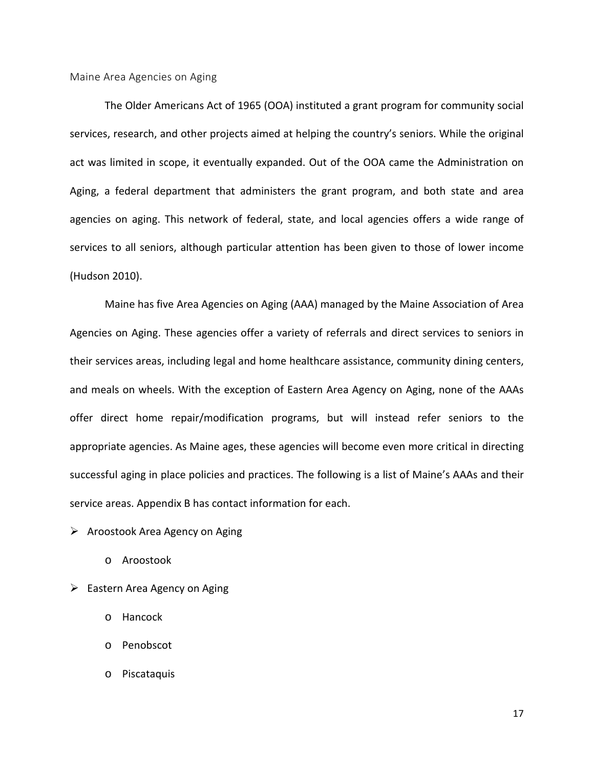<span id="page-18-0"></span>Maine Area Agencies on Aging

The Older Americans Act of 1965 (OOA) instituted a grant program for community social services, research, and other projects aimed at helping the country's seniors. While the original act was limited in scope, it eventually expanded. Out of the OOA came the Administration on Aging, a federal department that administers the grant program, and both state and area agencies on aging. This network of federal, state, and local agencies offers a wide range of services to all seniors, although particular attention has been given to those of lower income (Hudson 2010).

Maine has five Area Agencies on Aging (AAA) managed by the Maine Association of Area Agencies on Aging. These agencies offer a variety of referrals and direct services to seniors in their services areas, including legal and home healthcare assistance, community dining centers, and meals on wheels. With the exception of Eastern Area Agency on Aging, none of the AAAs offer direct home repair/modification programs, but will instead refer seniors to the appropriate agencies. As Maine ages, these agencies will become even more critical in directing successful aging in place policies and practices. The following is a list of Maine's AAAs and their service areas. Appendix B has contact information for each.

 $\triangleright$  Aroostook Area Agency on Aging

- o Aroostook
- $\triangleright$  Eastern Area Agency on Aging
	- o Hancock
	- o Penobscot
	- o Piscataquis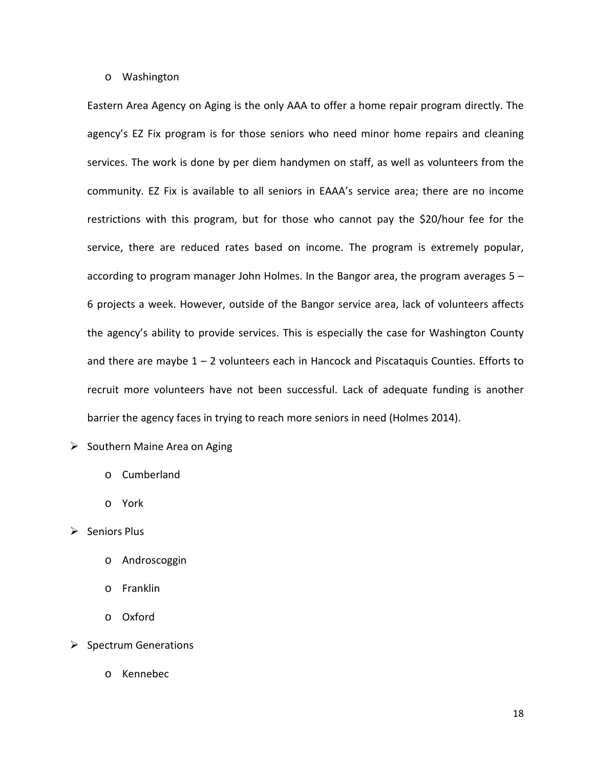#### o Washington

Eastern Area Agency on Aging is the only AAA to offer a home repair program directly. The agency's EZ Fix program is for those seniors who need minor home repairs and cleaning services. The work is done by per diem handymen on staff, as well as volunteers from the community. EZ Fix is available to all seniors in EAAA's service area; there are no income restrictions with this program, but for those who cannot pay the \$20/hour fee for the service, there are reduced rates based on income. The program is extremely popular, according to program manager John Holmes. In the Bangor area, the program averages 5 – 6 projects a week. However, outside of the Bangor service area, lack of volunteers affects the agency's ability to provide services. This is especially the case for Washington County and there are maybe  $1 - 2$  volunteers each in Hancock and Piscataquis Counties. Efforts to recruit more volunteers have not been successful. Lack of adequate funding is another barrier the agency faces in trying to reach more seniors in need (Holmes 2014).

- $\triangleright$  Southern Maine Area on Aging
	- o Cumberland
	- o York
- $\triangleright$  Seniors Plus
	- o Androscoggin
	- o Franklin
	- o Oxford
- $\triangleright$  Spectrum Generations
	- o Kennebec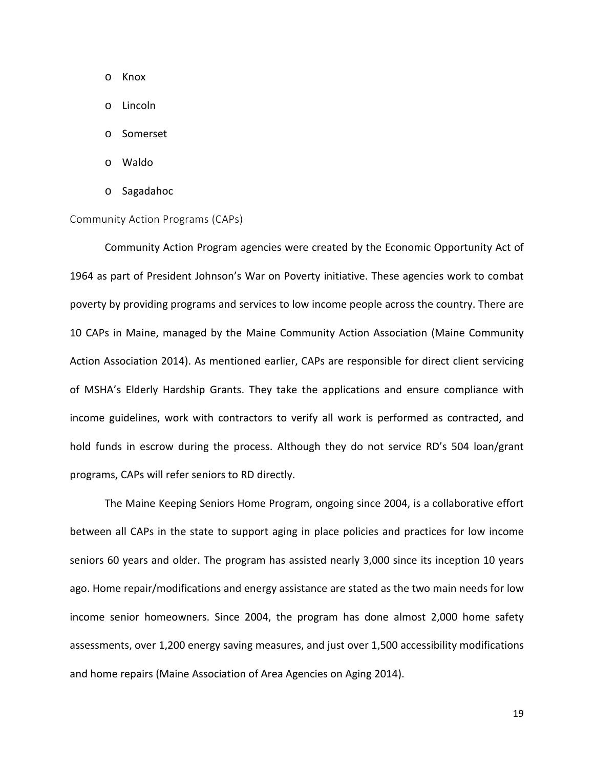- o Knox
- o Lincoln
- o Somerset
- o Waldo
- o Sagadahoc

#### <span id="page-20-0"></span>Community Action Programs (CAPs)

Community Action Program agencies were created by the Economic Opportunity Act of 1964 as part of President Johnson's War on Poverty initiative. These agencies work to combat poverty by providing programs and services to low income people across the country. There are 10 CAPs in Maine, managed by the Maine Community Action Association (Maine Community Action Association 2014). As mentioned earlier, CAPs are responsible for direct client servicing of MSHA's Elderly Hardship Grants. They take the applications and ensure compliance with income guidelines, work with contractors to verify all work is performed as contracted, and hold funds in escrow during the process. Although they do not service RD's 504 loan/grant programs, CAPs will refer seniors to RD directly.

The Maine Keeping Seniors Home Program, ongoing since 2004, is a collaborative effort between all CAPs in the state to support aging in place policies and practices for low income seniors 60 years and older. The program has assisted nearly 3,000 since its inception 10 years ago. Home repair/modifications and energy assistance are stated as the two main needs for low income senior homeowners. Since 2004, the program has done almost 2,000 home safety assessments, over 1,200 energy saving measures, and just over 1,500 accessibility modifications and home repairs (Maine Association of Area Agencies on Aging 2014).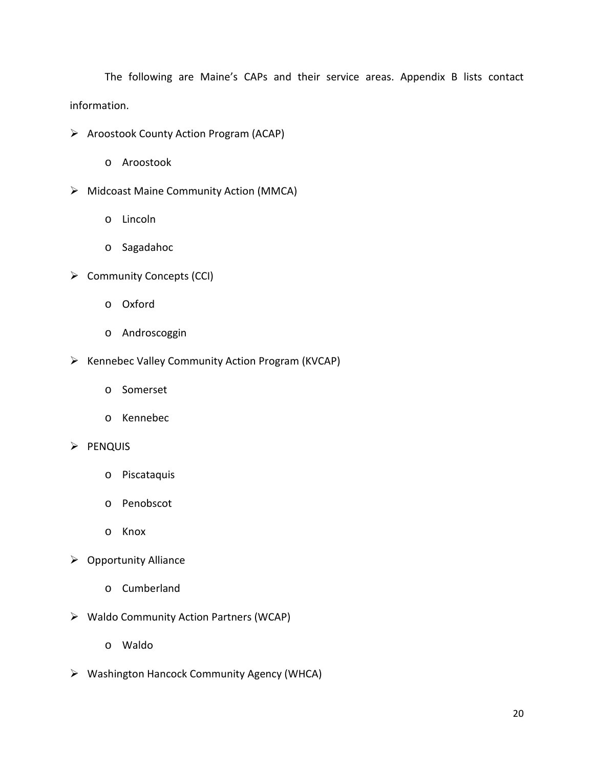The following are Maine's CAPs and their service areas. Appendix B lists contact information.

- $\triangleright$  Aroostook County Action Program (ACAP)
	- o Aroostook
- Midcoast Maine Community Action (MMCA)
	- o Lincoln
	- o Sagadahoc
- $\triangleright$  Community Concepts (CCI)
	- o Oxford
	- o Androscoggin
- $\triangleright$  Kennebec Valley Community Action Program (KVCAP)
	- o Somerset
	- o Kennebec
- $\triangleright$  PENQUIS
	- o Piscataquis
	- o Penobscot
	- o Knox
- $\triangleright$  Opportunity Alliance
	- o Cumberland
- Waldo Community Action Partners (WCAP)
	- o Waldo
- Washington Hancock Community Agency (WHCA)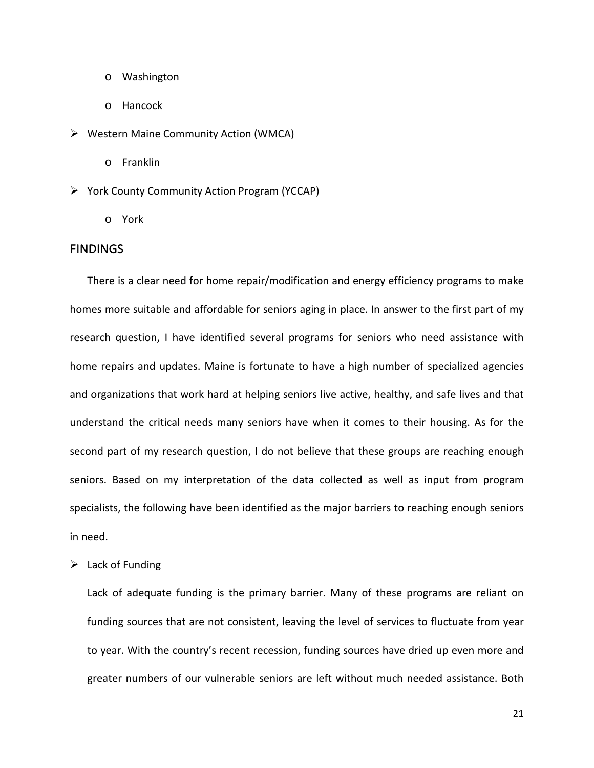- o Washington
- o Hancock
- Western Maine Community Action (WMCA)
	- o Franklin
- $\triangleright$  York County Community Action Program (YCCAP)
	- o York

#### <span id="page-22-0"></span>FINDINGS

There is a clear need for home repair/modification and energy efficiency programs to make homes more suitable and affordable for seniors aging in place. In answer to the first part of my research question, I have identified several programs for seniors who need assistance with home repairs and updates. Maine is fortunate to have a high number of specialized agencies and organizations that work hard at helping seniors live active, healthy, and safe lives and that understand the critical needs many seniors have when it comes to their housing. As for the second part of my research question, I do not believe that these groups are reaching enough seniors. Based on my interpretation of the data collected as well as input from program specialists, the following have been identified as the major barriers to reaching enough seniors in need.

 $\triangleright$  Lack of Funding

Lack of adequate funding is the primary barrier. Many of these programs are reliant on funding sources that are not consistent, leaving the level of services to fluctuate from year to year. With the country's recent recession, funding sources have dried up even more and greater numbers of our vulnerable seniors are left without much needed assistance. Both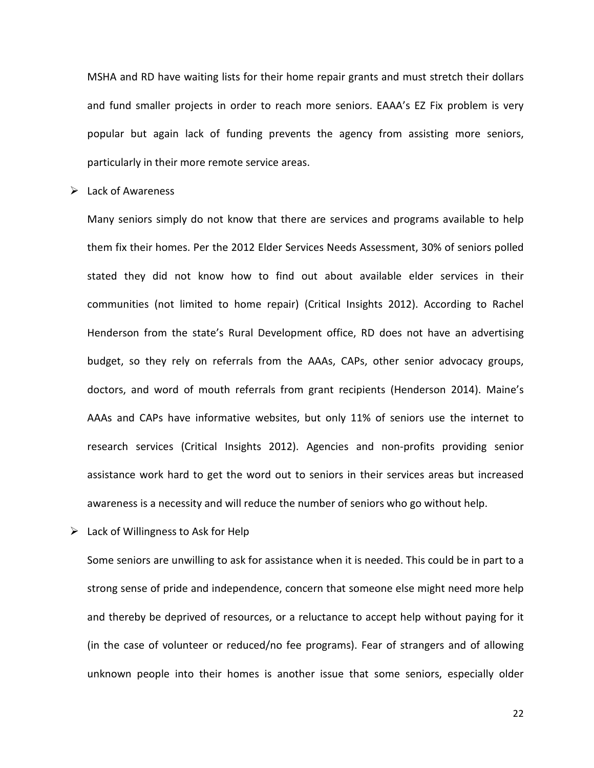MSHA and RD have waiting lists for their home repair grants and must stretch their dollars and fund smaller projects in order to reach more seniors. EAAA's EZ Fix problem is very popular but again lack of funding prevents the agency from assisting more seniors, particularly in their more remote service areas.

 $\triangleright$  Lack of Awareness

Many seniors simply do not know that there are services and programs available to help them fix their homes. Per the 2012 Elder Services Needs Assessment, 30% of seniors polled stated they did not know how to find out about available elder services in their communities (not limited to home repair) (Critical Insights 2012). According to Rachel Henderson from the state's Rural Development office, RD does not have an advertising budget, so they rely on referrals from the AAAs, CAPs, other senior advocacy groups, doctors, and word of mouth referrals from grant recipients (Henderson 2014). Maine's AAAs and CAPs have informative websites, but only 11% of seniors use the internet to research services (Critical Insights 2012). Agencies and non-profits providing senior assistance work hard to get the word out to seniors in their services areas but increased awareness is a necessity and will reduce the number of seniors who go without help.

 $\triangleright$  Lack of Willingness to Ask for Help

Some seniors are unwilling to ask for assistance when it is needed. This could be in part to a strong sense of pride and independence, concern that someone else might need more help and thereby be deprived of resources, or a reluctance to accept help without paying for it (in the case of volunteer or reduced/no fee programs). Fear of strangers and of allowing unknown people into their homes is another issue that some seniors, especially older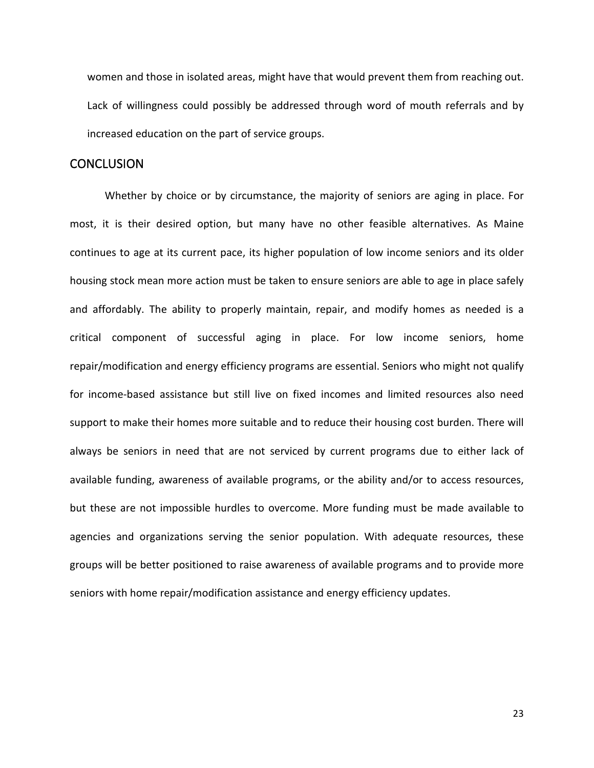women and those in isolated areas, might have that would prevent them from reaching out. Lack of willingness could possibly be addressed through word of mouth referrals and by increased education on the part of service groups.

### <span id="page-24-0"></span>**CONCLUSION**

Whether by choice or by circumstance, the majority of seniors are aging in place. For most, it is their desired option, but many have no other feasible alternatives. As Maine continues to age at its current pace, its higher population of low income seniors and its older housing stock mean more action must be taken to ensure seniors are able to age in place safely and affordably. The ability to properly maintain, repair, and modify homes as needed is a critical component of successful aging in place. For low income seniors, home repair/modification and energy efficiency programs are essential. Seniors who might not qualify for income-based assistance but still live on fixed incomes and limited resources also need support to make their homes more suitable and to reduce their housing cost burden. There will always be seniors in need that are not serviced by current programs due to either lack of available funding, awareness of available programs, or the ability and/or to access resources, but these are not impossible hurdles to overcome. More funding must be made available to agencies and organizations serving the senior population. With adequate resources, these groups will be better positioned to raise awareness of available programs and to provide more seniors with home repair/modification assistance and energy efficiency updates.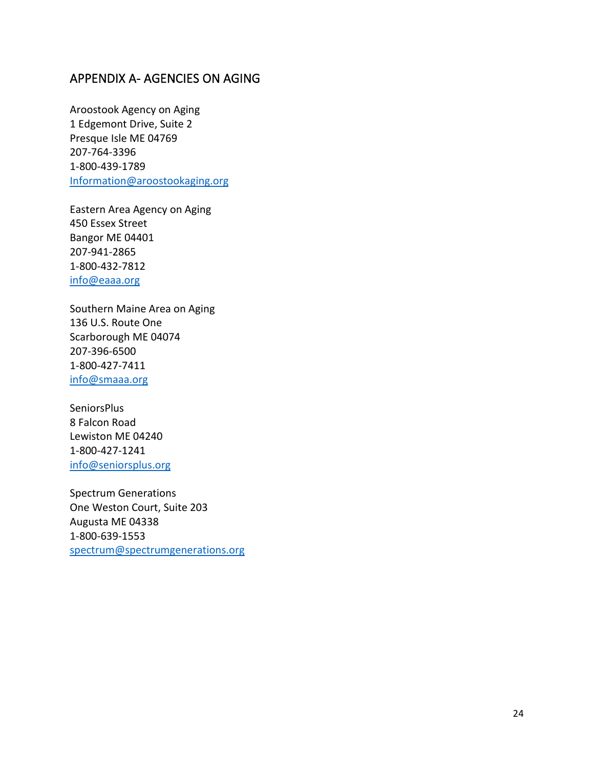# <span id="page-25-0"></span>APPENDIX A- AGENCIES ON AGING

Aroostook Agency on Aging 1 Edgemont Drive, Suite 2 Presque Isle ME 04769 207-764-3396 1-800-439-1789 [Information@aroostookaging.org](mailto:Information@aroostookaging.org)

Eastern Area Agency on Aging 450 Essex Street Bangor ME 04401 207-941-2865 1-800-432-7812 [info@eaaa.org](mailto:info@eaaa.org)

Southern Maine Area on Aging 136 U.S. Route One Scarborough ME 04074 207-396-6500 1-800-427-7411 [info@smaaa.org](mailto:info@smaaa.org)

**SeniorsPlus** 8 Falcon Road Lewiston ME 04240 1-800-427-1241 [info@seniorsplus.org](mailto:info@seniorsplus.org)

Spectrum Generations One Weston Court, Suite 203 Augusta ME 04338 1-800-639-1553 [spectrum@spectrumgenerations.org](mailto:spectrum@spectrumgenerations.org)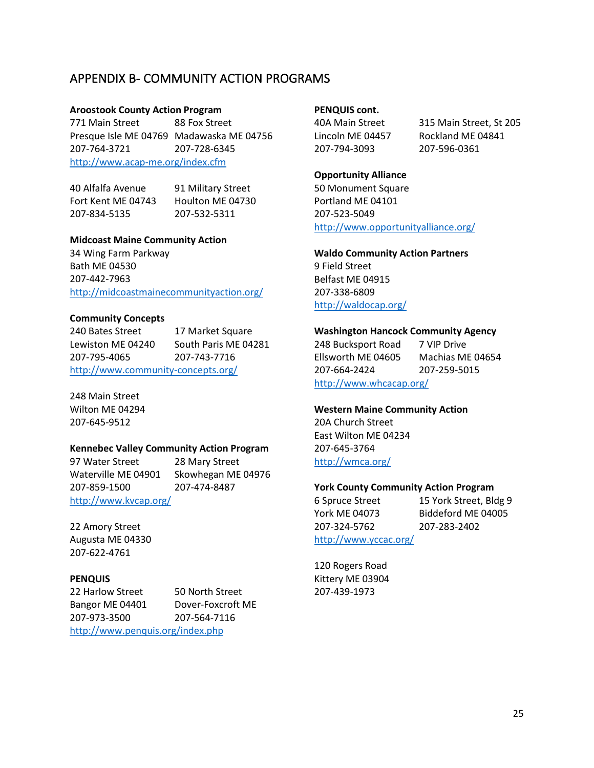# <span id="page-26-0"></span>APPENDIX B- COMMUNITY ACTION PROGRAMS

#### **Aroostook County Action Program**

771 Main Street 88 Fox Street Presque Isle ME 04769 Madawaska ME 04756 207-764-3721 207-728-6345 <http://www.acap-me.org/index.cfm>

40 Alfalfa Avenue 91 Military Street Fort Kent ME 04743 Houlton ME 04730 207-834-5135 207-532-5311

#### **Midcoast Maine Community Action**

34 Wing Farm Parkway Bath ME 04530 207-442-7963 <http://midcoastmainecommunityaction.org/>

#### **Community Concepts**

240 Bates Street 17 Market Square Lewiston ME 04240 South Paris ME 04281 207-795-4065 207-743-7716 <http://www.community-concepts.org/>

248 Main Street Wilton ME 04294 207-645-9512

#### **Kennebec Valley Community Action Program**

97 Water Street 28 Mary Street Waterville ME 04901 Skowhegan ME 04976 207-859-1500 207-474-8487 <http://www.kvcap.org/>

22 Amory Street Augusta ME 04330 207-622-4761

#### **PENQUIS**

22 Harlow Street 50 North Street Bangor ME 04401 Dover-Foxcroft ME 207-973-3500 207-564-7116 <http://www.penquis.org/index.php>

#### **PENQUIS cont.**

207-794-3093 207-596-0361

40A Main Street 315 Main Street, St 205 Lincoln ME 04457 Rockland ME 04841

#### **Opportunity Alliance**

50 Monument Square Portland ME 04101 207-523-5049 <http://www.opportunityalliance.org/>

#### **Waldo Community Action Partners**

9 Field Street Belfast ME 04915 207-338-6809 <http://waldocap.org/>

#### **Washington Hancock Community Agency**

248 Bucksport Road 7 VIP Drive Ellsworth ME 04605 Machias ME 04654 207-664-2424 207-259-5015 <http://www.whcacap.org/>

#### **Western Maine Community Action**

20A Church Street East Wilton ME 04234 207-645-3764 <http://wmca.org/>

#### **York County Community Action Program**

| 6 Spruce Street       | 15 York Street, Bldg 9 |
|-----------------------|------------------------|
| York ME 04073         | Biddeford ME 04005     |
| 207-324-5762          | 207-283-2402           |
| http://www.yccac.org/ |                        |

120 Rogers Road Kittery ME 03904 207-439-1973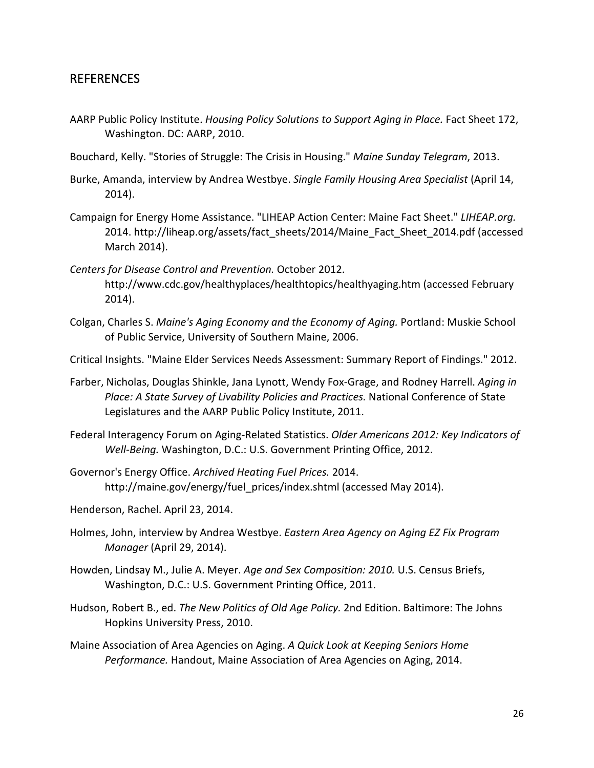# <span id="page-27-0"></span>REFERENCES

- AARP Public Policy Institute. *Housing Policy Solutions to Support Aging in Place.* Fact Sheet 172, Washington. DC: AARP, 2010.
- Bouchard, Kelly. "Stories of Struggle: The Crisis in Housing." *Maine Sunday Telegram*, 2013.
- Burke, Amanda, interview by Andrea Westbye. *Single Family Housing Area Specialist* (April 14, 2014).
- Campaign for Energy Home Assistance. "LIHEAP Action Center: Maine Fact Sheet." *LIHEAP.org.* 2014. http://liheap.org/assets/fact\_sheets/2014/Maine\_Fact\_Sheet\_2014.pdf (accessed March 2014).
- *Centers for Disease Control and Prevention.* October 2012. http://www.cdc.gov/healthyplaces/healthtopics/healthyaging.htm (accessed February 2014).
- Colgan, Charles S. *Maine's Aging Economy and the Economy of Aging.* Portland: Muskie School of Public Service, University of Southern Maine, 2006.
- Critical Insights. "Maine Elder Services Needs Assessment: Summary Report of Findings." 2012.
- Farber, Nicholas, Douglas Shinkle, Jana Lynott, Wendy Fox-Grage, and Rodney Harrell. *Aging in Place: A State Survey of Livability Policies and Practices.* National Conference of State Legislatures and the AARP Public Policy Institute, 2011.
- Federal Interagency Forum on Aging-Related Statistics. *Older Americans 2012: Key Indicators of Well-Being.* Washington, D.C.: U.S. Government Printing Office, 2012.
- Governor's Energy Office. *Archived Heating Fuel Prices.* 2014. http://maine.gov/energy/fuel\_prices/index.shtml (accessed May 2014).
- Henderson, Rachel. April 23, 2014.
- Holmes, John, interview by Andrea Westbye. *Eastern Area Agency on Aging EZ Fix Program Manager* (April 29, 2014).
- Howden, Lindsay M., Julie A. Meyer. *Age and Sex Composition: 2010.* U.S. Census Briefs, Washington, D.C.: U.S. Government Printing Office, 2011.
- Hudson, Robert B., ed. *The New Politics of Old Age Policy.* 2nd Edition. Baltimore: The Johns Hopkins University Press, 2010.
- Maine Association of Area Agencies on Aging. *A Quick Look at Keeping Seniors Home Performance.* Handout, Maine Association of Area Agencies on Aging, 2014.